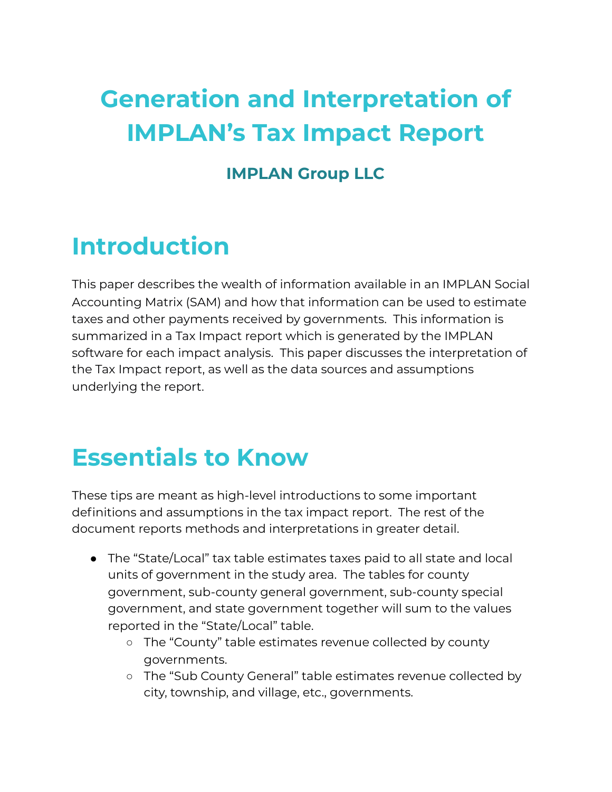# **Generation and Interpretation of IMPLAN's Tax Impact Report**

### **IMPLAN Group LLC**

### **Introduction**

This paper describes the wealth of information available in an IMPLAN Social Accounting Matrix (SAM) and how that information can be used to estimate taxes and other payments received by governments. This information is summarized in a Tax Impact report which is generated by the IMPLAN software for each impact analysis. This paper discusses the interpretation of the Tax Impact report, as well as the data sources and assumptions underlying the report.

## **Essentials to Know**

These tips are meant as high-level introductions to some important definitions and assumptions in the tax impact report. The rest of the document reports methods and interpretations in greater detail.

- The "State/Local" tax table estimates taxes paid to all state and local units of government in the study area. The tables for county government, sub-county general government, sub-county special government, and state government together will sum to the values reported in the "State/Local" table.
	- The "County" table estimates revenue collected by county governments.
	- The "Sub County General" table estimates revenue collected by city, township, and village, etc., governments.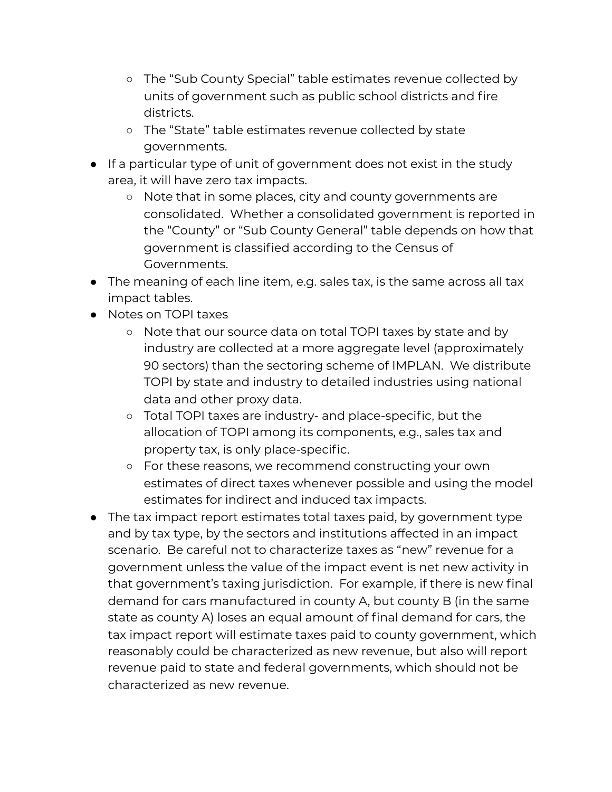- The "Sub County Special" table estimates revenue collected by units of government such as public school districts and fire districts.
- The "State" table estimates revenue collected by state governments.
- If a particular type of unit of government does not exist in the study area, it will have zero tax impacts.
	- Note that in some places, city and county governments are consolidated. Whether a consolidated government is reported in the "County" or "Sub County General" table depends on how that government is classified according to the Census of Governments.
- The meaning of each line item, e.g. sales tax, is the same across all tax impact tables.
- Notes on TOPI taxes
	- Note that our source data on total TOPI taxes by state and by industry are collected at a more aggregate level (approximately 90 sectors) than the sectoring scheme of IMPLAN. We distribute TOPI by state and industry to detailed industries using national data and other proxy data.
	- Total TOPI taxes are industry- and place-specific, but the allocation of TOPI among its components, e.g., sales tax and property tax, is only place-specific.
	- For these reasons, we recommend constructing your own estimates of direct taxes whenever possible and using the model estimates for indirect and induced tax impacts.
- The tax impact report estimates total taxes paid, by government type and by tax type, by the sectors and institutions affected in an impact scenario. Be careful not to characterize taxes as "new" revenue for a government unless the value of the impact event is net new activity in that government's taxing jurisdiction. For example, if there is new final demand for cars manufactured in county A, but county B (in the same state as county A) loses an equal amount of final demand for cars, the tax impact report will estimate taxes paid to county government, which reasonably could be characterized as new revenue, but also will report revenue paid to state and federal governments, which should not be characterized as new revenue.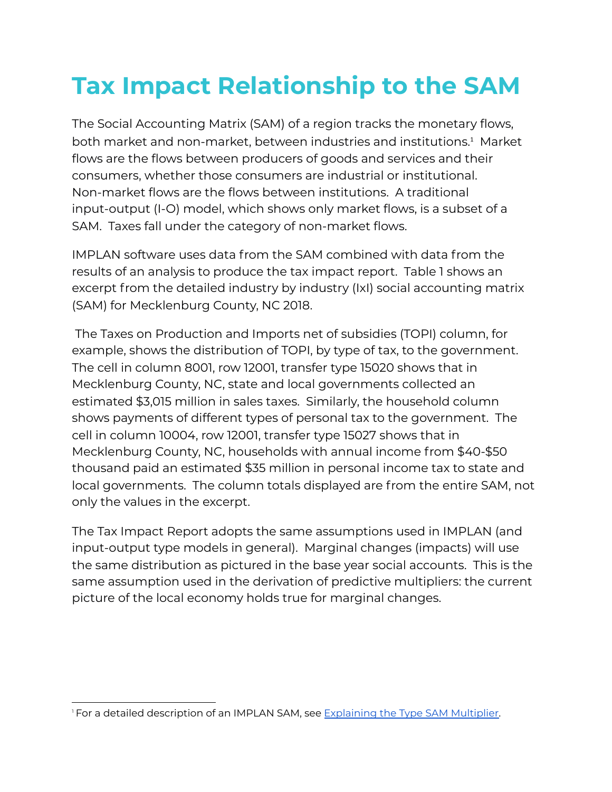# **Tax Impact Relationship to the SAM**

The Social Accounting Matrix (SAM) of a region tracks the monetary flows, both market and non-market, between industries and institutions. <sup>1</sup> Market flows are the flows between producers of goods and services and their consumers, whether those consumers are industrial or institutional. Non-market flows are the flows between institutions. A traditional input-output (I-O) model, which shows only market flows, is a subset of a SAM. Taxes fall under the category of non-market flows.

IMPLAN software uses data from the SAM combined with data from the results of an analysis to produce the tax impact report. Table 1 shows an excerpt from the detailed industry by industry (IxI) social accounting matrix (SAM) for Mecklenburg County, NC 2018.

The Taxes on Production and Imports net of subsidies (TOPI) column, for example, shows the distribution of TOPI, by type of tax, to the government. The cell in column 8001, row 12001, transfer type 15020 shows that in Mecklenburg County, NC, state and local governments collected an estimated \$3,015 million in sales taxes. Similarly, the household column shows payments of different types of personal tax to the government. The cell in column 10004, row 12001, transfer type 15027 shows that in Mecklenburg County, NC, households with annual income from \$40-\$50 thousand paid an estimated \$35 million in personal income tax to state and local governments. The column totals displayed are from the entire SAM, not only the values in the excerpt.

The Tax Impact Report adopts the same assumptions used in IMPLAN (and input-output type models in general). Marginal changes (impacts) will use the same distribution as pictured in the base year social accounts. This is the same assumption used in the derivation of predictive multipliers: the current picture of the local economy holds true for marginal changes.

<sup>&</sup>lt;sup>1</sup> For a detailed description of an IMPLAN SAM, see [Explaining](https://implanhelp.zendesk.com/hc/en-us/articles/115009674768-Explaining-the-Type-SAM-Multiplier) the Type SAM Multiplier.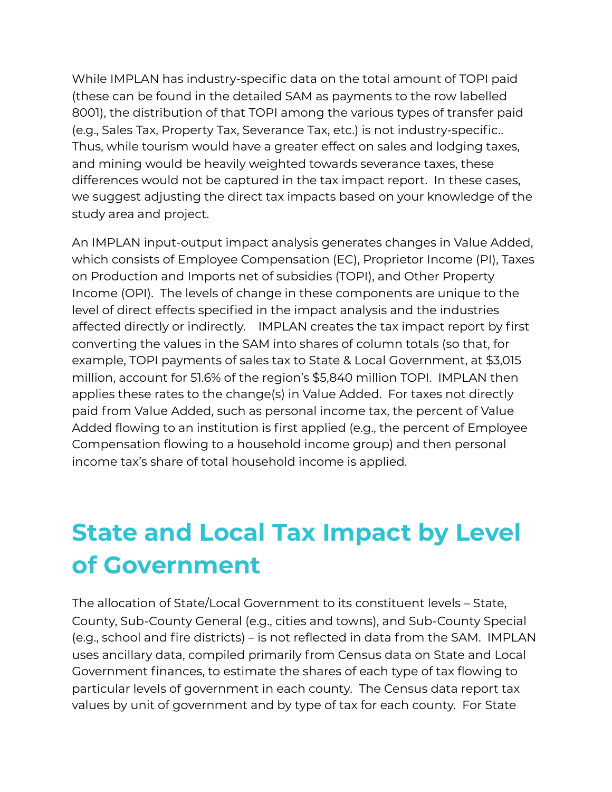While IMPLAN has industry-specific data on the total amount of TOPI paid (these can be found in the detailed SAM as payments to the row labelled 8001), the distribution of that TOPI among the various types of transfer paid (e.g., Sales Tax, Property Tax, Severance Tax, etc.) is not industry-specific.. Thus, while tourism would have a greater effect on sales and lodging taxes, and mining would be heavily weighted towards severance taxes, these differences would not be captured in the tax impact report. In these cases, we suggest adjusting the direct tax impacts based on your knowledge of the study area and project.

An IMPLAN input-output impact analysis generates changes in Value Added, which consists of Employee Compensation (EC), Proprietor Income (PI), Taxes on Production and Imports net of subsidies (TOPI), and Other Property Income (OPI). The levels of change in these components are unique to the level of direct effects specified in the impact analysis and the industries affected directly or indirectly. IMPLAN creates the tax impact report by first converting the values in the SAM into shares of column totals (so that, for example, TOPI payments of sales tax to State & Local Government, at \$3,015 million, account for 51.6% of the region's \$5,840 million TOPI. IMPLAN then applies these rates to the change(s) in Value Added. For taxes not directly paid from Value Added, such as personal income tax, the percent of Value Added flowing to an institution is first applied (e.g., the percent of Employee Compensation flowing to a household income group) and then personal income tax's share of total household income is applied.

## **State and Local Tax Impact by Level of Government**

The allocation of State/Local Government to its constituent levels – State, County, Sub-County General (e.g., cities and towns), and Sub-County Special (e.g., school and fire districts) – is not reflected in data from the SAM. IMPLAN uses ancillary data, compiled primarily from Census data on State and Local Government finances, to estimate the shares of each type of tax flowing to particular levels of government in each county. The Census data report tax values by unit of government and by type of tax for each county. For State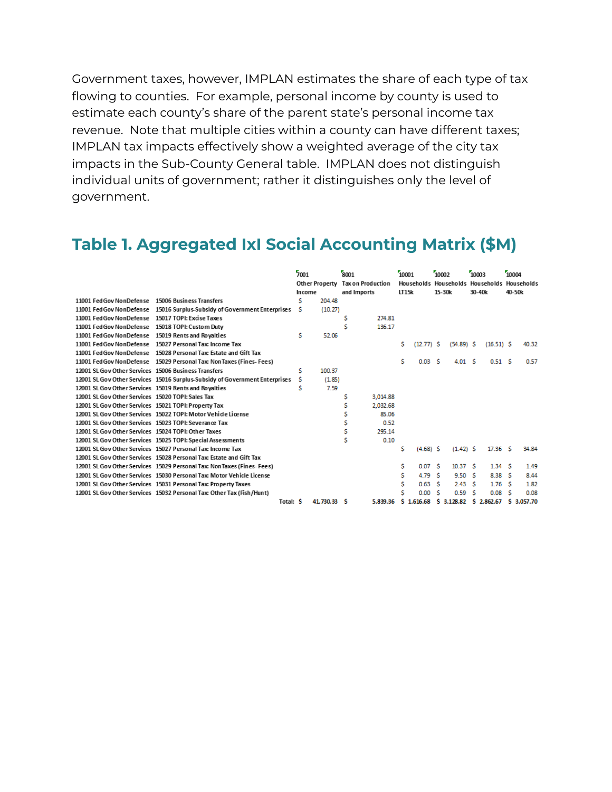Government taxes, however, IMPLAN estimates the share of each type of tax flowing to counties. For example, personal income by county is used to estimate each county's share of the parent state's personal income tax revenue. Note that multiple cities within a county can have different taxes; IMPLAN tax impacts effectively show a weighted average of the city tax impacts in the Sub-County General table. IMPLAN does not distinguish individual units of government; rather it distinguishes only the level of government.

### **Table 1. Aggregated IxI Social Accounting Matrix (\$M)**

|                                                       |                                                                             | 7001   |             | 8001 |                                  | 10001 |                   | 10002 |                    | 10003                                       |                    | 10004 |          |
|-------------------------------------------------------|-----------------------------------------------------------------------------|--------|-------------|------|----------------------------------|-------|-------------------|-------|--------------------|---------------------------------------------|--------------------|-------|----------|
|                                                       |                                                                             |        |             |      | Other Property Tax on Production |       |                   |       |                    | Households Households Households Households |                    |       |          |
|                                                       |                                                                             | Income |             |      | and Imports                      |       | LT15k             |       | 15-30k             | 30-40k                                      |                    |       | 40-50k   |
| 11001 FedGov NonDefense  15006 Business Transfers     |                                                                             | s      | 204.48      |      |                                  |       |                   |       |                    |                                             |                    |       |          |
|                                                       | 11001 Fed Gov NonDefense 15016 Surplus-Subsidy of Government Enterprises    | s      | (10.27)     |      |                                  |       |                   |       |                    |                                             |                    |       |          |
| 11001 FedGov NonDefense 15017 TOPI: Excise Taxes      |                                                                             |        |             | s    | 274.81                           |       |                   |       |                    |                                             |                    |       |          |
| 11001 Fed Gov NonDefense 15018 TOPI: Custom Duty      |                                                                             |        |             | Ś    | 136.17                           |       |                   |       |                    |                                             |                    |       |          |
| 11001 FedGov NonDefense 15019 Rents and Royalties     |                                                                             | \$     | 52.06       |      |                                  |       |                   |       |                    |                                             |                    |       |          |
|                                                       | 11001 FedGov NonDefense  15027 Personal Tax: Income Tax                     |        |             |      |                                  | Ś.    | $(12.77)$ \$      |       | $(54.89)$ \$       |                                             | $(16.51)$ \$       |       | 40.32    |
|                                                       | 11001 Fed Gov NonDefense 15028 Personal Tax: Estate and Gift Tax            |        |             |      |                                  |       |                   |       |                    |                                             |                    |       |          |
|                                                       | 11001 FedGov NonDefense 15029 Personal Tax: NonTaxes (Fines-Fees)           |        |             |      |                                  | Ś.    | 0.03 <sub>5</sub> |       | 4.01 S             |                                             | 0.51S              |       | 0.57     |
| 12001 SL Gov Other Services 15006 Business Transfers  |                                                                             | \$     | 100.37      |      |                                  |       |                   |       |                    |                                             |                    |       |          |
|                                                       | 12001 SL Gov Other Services 15016 Surplus-Subsidy of Government Enterprises | s      | (1.85)      |      |                                  |       |                   |       |                    |                                             |                    |       |          |
| 12001 SL Gov Other Services 15019 Rents and Rovalties |                                                                             | \$     | 7.59        |      |                                  |       |                   |       |                    |                                             |                    |       |          |
| 12001 SL Gov Other Services 15020 TOPI: Sales Tax     |                                                                             |        |             | S    | 3.014.88                         |       |                   |       |                    |                                             |                    |       |          |
| 12001 SL Gov Other Services 15021 TOPI: Property Tax  |                                                                             |        |             | Ś    | 2.032.68                         |       |                   |       |                    |                                             |                    |       |          |
|                                                       | 12001 SL Gov Other Services 15022 TOPI: Motor Vehicle License               |        |             |      | 85.06                            |       |                   |       |                    |                                             |                    |       |          |
| 12001 SL Gov Other Services 15023 TOPI: Severance Tax |                                                                             |        |             | s    | 0.52                             |       |                   |       |                    |                                             |                    |       |          |
| 12001 SL Gov Other Services 15024 TOPI: Other Taxes   |                                                                             |        |             | Ś    | 295.14                           |       |                   |       |                    |                                             |                    |       |          |
|                                                       | 12001 SL Gov Other Services 15025 TOPI: Special Assessments                 |        |             |      | 0.10                             |       |                   |       |                    |                                             |                    |       |          |
|                                                       | 12001 SL Gov Other Services 15027 Personal Tax: Income Tax                  |        |             |      |                                  | \$    | $(4.68)$ S        |       | $(1.42)$ \$        |                                             | 17.36 <sub>5</sub> |       | 34.84    |
|                                                       | 12001 SL Gov Other Services 15028 Personal Tax: Estate and Gift Tax         |        |             |      |                                  |       |                   |       |                    |                                             |                    |       |          |
|                                                       | 12001 SL Gov Other Services 15029 Personal Tax: Non Taxes (Fines- Fees)     |        |             |      |                                  | s     | 0.07 <sub>5</sub> |       | 10.37 <sub>5</sub> |                                             | 1.34S              |       | 1.49     |
|                                                       | 12001 SL Gov Other Services 15030 Personal Tax: Motor Vehicle License       |        |             |      |                                  | s     | 4.79              | - 5   | 9.50 S             |                                             | 8.38 \$            |       | 8.44     |
|                                                       | 12001 SL Gov Other Services 15031 Personal Tax: Property Taxes              |        |             |      |                                  | Ś.    | 0.63 <sub>5</sub> |       | 2.43 S             |                                             | 1.76 <sub>5</sub>  |       | 1.82     |
|                                                       | 12001 SL Gov Other Services 15032 Personal Tax: Other Tax (Fish/Hunt)       |        |             |      |                                  | Ś.    | 0.00 S            |       | 0.59               | -S                                          | 0.08 <sub>5</sub>  |       | 0.08     |
|                                                       | Total: S                                                                    |        | 41,730,33 S |      | 5,839.36                         |       | \$1.616.68        |       | \$3,128.82         |                                             | \$2.862.67         | s.    | 3,057.70 |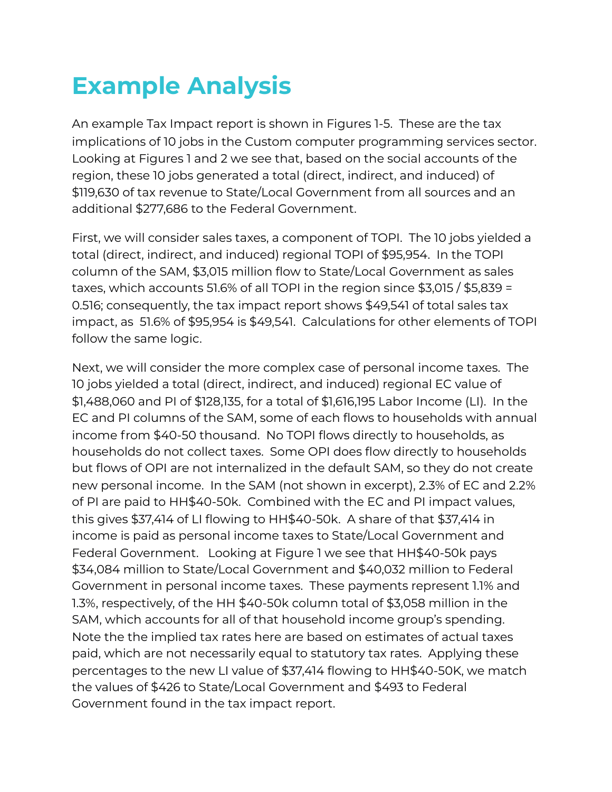## **Example Analysis**

An example Tax Impact report is shown in Figures 1-5. These are the tax implications of 10 jobs in the Custom computer programming services sector. Looking at Figures 1 and 2 we see that, based on the social accounts of the region, these 10 jobs generated a total (direct, indirect, and induced) of \$119,630 of tax revenue to State/Local Government from all sources and an additional \$277,686 to the Federal Government.

First, we will consider sales taxes, a component of TOPI. The 10 jobs yielded a total (direct, indirect, and induced) regional TOPI of \$95,954. In the TOPI column of the SAM, \$3,015 million flow to State/Local Government as sales taxes, which accounts 51.6% of all TOPI in the region since \$3,015 / \$5,839 = 0.516; consequently, the tax impact report shows \$49,541 of total sales tax impact, as 51.6% of \$95,954 is \$49,541. Calculations for other elements of TOPI follow the same logic.

Next, we will consider the more complex case of personal income taxes. The 10 jobs yielded a total (direct, indirect, and induced) regional EC value of \$1,488,060 and PI of \$128,135, for a total of \$1,616,195 Labor Income (LI). In the EC and PI columns of the SAM, some of each flows to households with annual income from \$40-50 thousand. No TOPI flows directly to households, as households do not collect taxes. Some OPI does flow directly to households but flows of OPI are not internalized in the default SAM, so they do not create new personal income. In the SAM (not shown in excerpt), 2.3% of EC and 2.2% of PI are paid to HH\$40-50k. Combined with the EC and PI impact values, this gives \$37,414 of LI flowing to HH\$40-50k. A share of that \$37,414 in income is paid as personal income taxes to State/Local Government and Federal Government. Looking at Figure 1 we see that HH\$40-50k pays \$34,084 million to State/Local Government and \$40,032 million to Federal Government in personal income taxes. These payments represent 1.1% and 1.3%, respectively, of the HH \$40-50k column total of \$3,058 million in the SAM, which accounts for all of that household income group's spending. Note the the implied tax rates here are based on estimates of actual taxes paid, which are not necessarily equal to statutory tax rates. Applying these percentages to the new LI value of \$37,414 flowing to HH\$40-50K, we match the values of \$426 to State/Local Government and \$493 to Federal Government found in the tax impact report.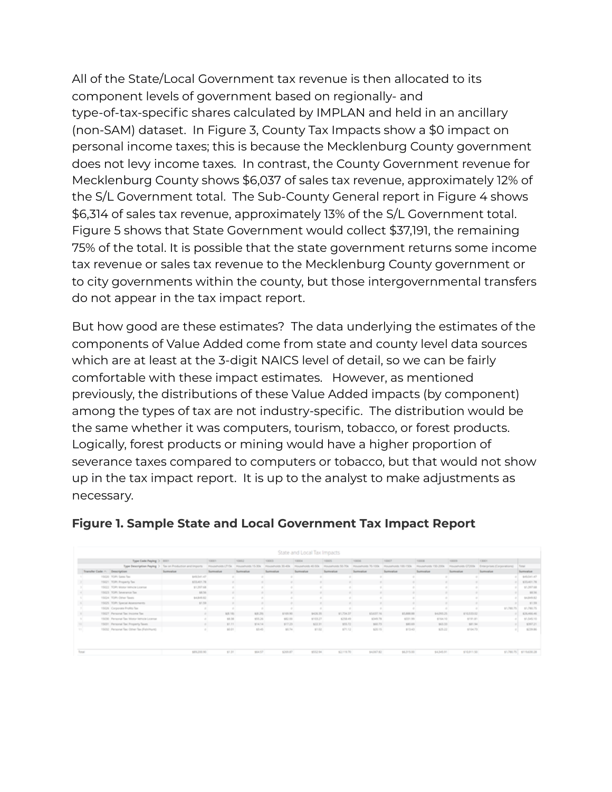All of the State/Local Government tax revenue is then allocated to its component levels of government based on regionally- and type-of-tax-specific shares calculated by IMPLAN and held in an ancillary (non-SAM) dataset. In Figure 3, County Tax Impacts show a \$0 impact on personal income taxes; this is because the Mecklenburg County government does not levy income taxes. In contrast, the County Government revenue for Mecklenburg County shows \$6,037 of sales tax revenue, approximately 12% of the S/L Government total. The Sub-County General report in Figure 4 shows \$6,314 of sales tax revenue, approximately 13% of the S/L Government total. Figure 5 shows that State Government would collect \$37,191, the remaining 75% of the total. It is possible that the state government returns some income tax revenue or sales tax revenue to the Mecklenburg County government or to city governments within the county, but those intergovernmental transfers do not appear in the tax impact report.

But how good are these estimates? The data underlying the estimates of the components of Value Added come from state and county level data sources which are at least at the 3-digit NAICS level of detail, so we can be fairly comfortable with these impact estimates. However, as mentioned previously, the distributions of these Value Added impacts (by component) among the types of tax are not industry-specific. The distribution would be the same whether it was computers, tourism, tobacco, or forest products. Logically, forest products or mining would have a higher proportion of severance taxes compared to computers or tobacco, but that would not show up in the tax impact report. It is up to the analyst to make adjustments as necessary.

|                            | Type Code Paying 3 8001                 |                                                         | 10001            | 10002             | 10003             | 10004                                | 10005     | 10006                                   | 10007      | 1000E                                        | 100019      | T3001                      |             |
|----------------------------|-----------------------------------------|---------------------------------------------------------|------------------|-------------------|-------------------|--------------------------------------|-----------|-----------------------------------------|------------|----------------------------------------------|-------------|----------------------------|-------------|
|                            |                                         | Type Description Paying > Tax on Production and Imports | Households LT15k | Households 15-30x | Households 30-40x | Households 40-50k Plouseholds 50-70k |           | Households 70-100k Plouseholds 100-150k |            | <b>Routeholds 150-200k Pouseholds CF200k</b> |             | Enterprises (Corporations) | Total       |
| Transfer Code  Description |                                         | Sumvalue                                                | Sumvator         | Sumvalue          | Sumvator          | Summarius                            | Sumvator  | Sumvator                                | Sumvator   | Sumulus                                      | Sumvalue    | Summarius                  | Sumvalue    |
|                            | 19600 FOR Sales Tax                     | BISSILIT.                                               |                  |                   |                   |                                      |           |                                         |            |                                              |             |                            | \$45,541.47 |
|                            | 19621 FOR Property Tax                  | 123,421.78                                              |                  |                   |                   |                                      |           |                                         |            |                                              |             |                            | \$35,401.76 |
|                            | 19522 FOR: Mutor Wincle License         | \$1,597.68                                              |                  |                   |                   |                                      |           |                                         |            |                                              |             |                            | 11,307.68   |
|                            | 19829 FOR Severance Text                | \$9.54                                                  |                  |                   |                   |                                      |           |                                         |            |                                              |             |                            | \$8.56      |
|                            | 19624 FOR: Other Taxes                  | DAD43, 0.2                                              |                  |                   |                   |                                      |           |                                         |            |                                              |             |                            | \$4,849.82  |
|                            | 19625 FDR Special Assessments           | 91.98                                                   |                  |                   |                   |                                      |           |                                         |            |                                              |             |                            | \$7.59      |
|                            | 19626 Corporate Profits Tex-            |                                                         |                  |                   |                   |                                      |           |                                         |            |                                              |             | \$1,785.75                 | \$1,790.75  |
|                            | 19627. Personal Tax: Income Tax         |                                                         | 9.3.76           | 8.9.291           | \$7,03.90         | 1004.35                              | 87,734,37 | \$3,637.16                              | \$5,880.00 | \$4,095,25                                   | \$10,530.02 |                            | \$26,466.46 |
|                            | 1909 Personal Tax Motor Vehicle Loanse  |                                                         | 53.38            | 105.26            | \$92.00           | 17.03.27                             | 1258.49   | 1049.78                                 | 1101.99    | \$164.10                                     | \$750.81    |                            | \$1,545.10  |
|                            | 19651 Personal Tax Property Taxes       |                                                         | 91.71            | \$74.74           | $8'0'23'$ .       | \$22.31                              | 875.72    | sun 75                                  | \$30.65    | \$43.35                                      | \$81.54     |                            | \$397.21    |
|                            | 19852 Personal Tax Other Tax (Feh/Hunt) |                                                         | 88.01            | 53.45             | 51.74             | 91.02                                | 871.52    | 626.75                                  | \$13.43    | \$25.22                                      | \$104.73    |                            | \$259.86    |

#### **Figure 1. Sample State and Local Government Tax Impact Report**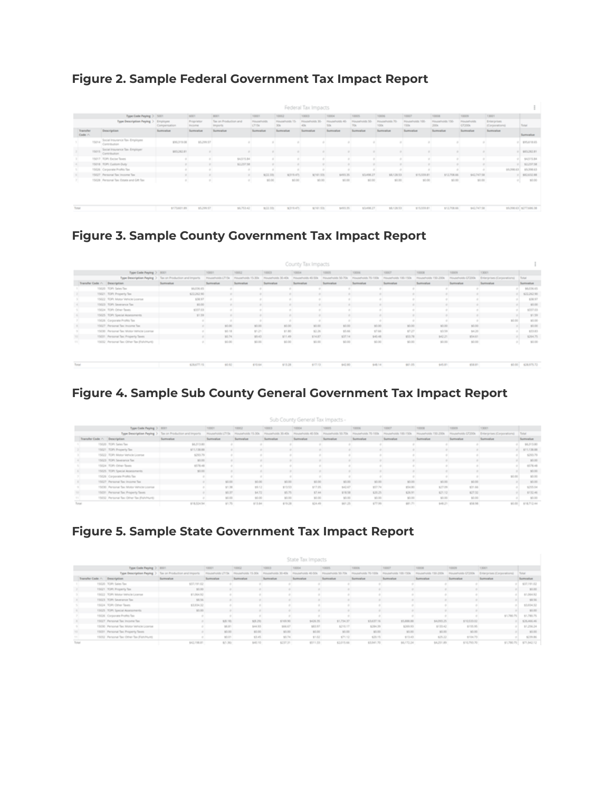#### **Figure 2. Sample Federal Government Tax Impact Report**

|       | Federal Tax Impacts |                                                     |                          |                           |                                  |                                        |                                |                       |              |                                |                       |                     |                               |                               |                             |                         |
|-------|---------------------|-----------------------------------------------------|--------------------------|---------------------------|----------------------------------|----------------------------------------|--------------------------------|-----------------------|--------------|--------------------------------|-----------------------|---------------------|-------------------------------|-------------------------------|-----------------------------|-------------------------|
|       |                     | <b>Type Code Paying &gt; 5001</b>                   |                          | 6001                      | <b>AGEN</b>                      | <b>NGCOTT</b>                          | 10062                          | 10003                 | <b>NGCC4</b> | <b>NAMES</b>                   | <b>VAGGIE</b>         | <b>NAGE</b>         | <b><i><u>Videos</u></i></b>   | <b>NAMES</b>                  | <b>KINGER</b>               |                         |
|       |                     | Type Description Paying >                           | Employee<br>Compensation | Proprietor<br><b>POMM</b> | Tax on Production and<br>Imports | <b>Flourish childs</b><br><b>CT15k</b> | <b>Households VL</b><br>$30\%$ | Households 30.<br>408 | 508          | <b>Housandvision SS</b><br>708 | Households 76<br>100x | cion, Villa<br>1504 | <b>Households YSS</b><br>2004 | <b>Floudatholds</b><br>CT20Dk | Enterprises<br>Corporations | Turus                   |
|       | Transfer<br>Code /  | Description.                                        | <b>Summarize</b>         | <b>Summator</b>           | <b>Summarius</b>                 | <b>Summator</b>                        | <b>Summarize</b>               | Summarius             | Summarium    | <b>Summator</b>                | Sumushue              | Summarium           | <b>Summarize</b>              | <b>Summarize</b>              | <b>Summator</b>             | Sumushue                |
|       | TMA                 | Social Imsurance Tax-Employee<br><b>SATEPROGRAM</b> | \$10,319.08              | \$5,299.97                |                                  |                                        |                                |                       |              |                                |                       |                     |                               |                               |                             | 1.4954/0.05             |
|       | 15015               | Social Insurance Tax- Employer<br>Contribution      | \$83,262.01              |                           |                                  |                                        |                                |                       |              |                                |                       |                     |                               |                               |                             | \$53,292.91             |
|       |                     | 15017 TOPI Excite Texts                             |                          |                           | $94.5^{\circ}$ (5.84)            |                                        |                                |                       |              |                                |                       |                     |                               |                               |                             | \$4,515.84              |
|       |                     | 15018 TOPI: Custom Duty                             |                          |                           | 63,237,58                        |                                        |                                |                       |              |                                |                       |                     |                               |                               |                             | \$2,207.58              |
|       |                     | 15026 Corporate Profits Tax                         |                          |                           |                                  |                                        |                                |                       |              |                                |                       |                     |                               |                               | \$5,200.63                  | \$5,598.63              |
|       |                     | 15027 Personal flac income Tax                      |                          |                           | $\sim$                           | 1032,335                               | \$319.470                      | 9/141.570             | 5433.35      | \$3,458.27                     | \$6,128.53            | \$15,559.81         | \$12,706.66                   | \$42,747.58                   |                             | \$82,632.98             |
|       |                     | 15028 Personal fax: Exsex and Grt Tax               |                          | ٠                         | ×                                | \$1.00                                 | 10.06                          | 10.00                 | \$1.00       | 10.00                          | 10.00                 | \$1.00              | \$1.00                        | \$1.00                        |                             | \$1.00                  |
|       |                     |                                                     |                          |                           |                                  |                                        |                                |                       |              |                                |                       |                     |                               |                               |                             |                         |
| Total |                     |                                                     | STTLAD1.89               | M.299.57                  | 101.753.42                       | 1633,335                               | \$319.470                      | 8/101.536             | 10433.35     | 13,458.27                      | 98,128,53             | \$15,559.81         | 1/17/18 00:                   | \$42,747.58                   |                             | \$5,200.63 \$277,606.38 |

#### **Figure 3. Sample County Government Tax Impact Report**

|                              |                                           |                                                         |                  |                           |                   | County Tax Impacts |                       |                    |                         |                          |                   |                                   |             |
|------------------------------|-------------------------------------------|---------------------------------------------------------|------------------|---------------------------|-------------------|--------------------|-----------------------|--------------------|-------------------------|--------------------------|-------------------|-----------------------------------|-------------|
|                              | Type Code Paying > 8001                   |                                                         | 10001            | 10012                     | 10003             | 10004              | 10005                 | 10006              | <b>NORSE</b>            | NOOCE                    | 10005             | T3001                             |             |
|                              |                                           | Type Description Paying > Tax on Production and Imports | Households LT15k | <b>Pinuterholds TL3Ds</b> | Households 30-40x | Households 40-50k  | Pilostellulijk 50.70k | Households 70-100k | PiloutePolitik 100-150s | PinutePullilly, T50-2004 | Households CT200k | <b>Drivrorises (Corporations)</b> | Total       |
| Transfer Code .- Description |                                           | Summitor                                                | Summarize        | Europalize                | Sumushue          | <b>Summator</b>    | Summite               | Sumushue           | Eumophan                | <b>Summarium</b>         | Sumushue          | Sumushue                          | Sumushue    |
|                              | 19520 TOPI Sales Tax                      | \$5,506.65                                              |                  |                           |                   |                    |                       |                    |                         |                          |                   |                                   | \$5,536.65  |
|                              | 19621 TOPI Property Tex.                  | \$22,262.90                                             |                  |                           |                   |                    |                       |                    |                         |                          |                   |                                   | \$20,262.90 |
|                              | 19522 FOPt Motor Vehicle License          | 670.57                                                  |                  |                           |                   |                    |                       |                    |                         |                          |                   |                                   | \$78.97     |
|                              | VM29 FOPt Severance Tax                   | 93.00                                                   |                  |                           |                   |                    |                       |                    |                         |                          |                   |                                   | \$1.00      |
|                              | 19624 FOPt Other favors                   | 1307.03                                                 |                  |                           |                   |                    |                       |                    |                         |                          |                   |                                   | 1037.03     |
|                              | 19525 TOPI: Special Assessments           | 17.59                                                   |                  |                           |                   |                    |                       |                    |                         |                          |                   |                                   | \$1.59      |
|                              | 19026 Corporate Profits Tax               |                                                         |                  |                           |                   |                    |                       |                    |                         |                          |                   | \$0.00                            | 10.00       |
|                              | 19527 Personal Tax Income Tax             | $\sim$                                                  | \$1.00           | \$5.00                    | stoo!             | 10.00              | \$1.00                | \$5.00             | \$5.00                  | 10.00                    | 10.00             |                                   | \$3.00      |
|                              | T5030 Personal Tax Multar Which Coleman   |                                                         | 95.18            | \$1.21                    | \$1.80            | 12.25              | \$5.06                | <b>STAR</b>        | 17.27                   | 83.59                    | 14.25             |                                   | 633.83      |
|                              | 19201 Personal Tax Property Taxes         |                                                         | 95.74            | \$3.43                    | ETL49             | \$14.87            | 637.14                | \$40.48            | utn ru                  | \$42.21                  | \$54.01           |                                   | 8264.75     |
| m                            | 19202 Personal Tax Other Tax (Fally/Hunt) |                                                         | 91.00            | 60.00                     | \$1.00            | 90.00              | 63.00                 | 90.00              | 90.00                   | 60.00                    | 60.00             |                                   | \$1.00      |
|                              |                                           |                                                         |                  |                           |                   |                    |                       |                    |                         |                          |                   |                                   |             |
| Total                        |                                           | \$26,673.15                                             | 91/52            | \$70.64                   | \$13.38           | \$17.13            | \$42.80               | \$48.14            | \$61.05                 | \$45.81                  | \$58.81           | 90.00                             | \$28,979.72 |

#### **Figure 4. Sample Sub County General Government Tax Impact Report**

|       |                               |                                          |                                                         |                        |                   |                      | Sub County General Tax Impacts - |                   |                     |                        |                          |                   |                             |             |
|-------|-------------------------------|------------------------------------------|---------------------------------------------------------|------------------------|-------------------|----------------------|----------------------------------|-------------------|---------------------|------------------------|--------------------------|-------------------|-----------------------------|-------------|
|       |                               | Type Code Paying > 8001                  |                                                         | <b>NOODS</b>           | 10003             | <b>NORTH</b>         | <b>NODGAL</b>                    | 10005             | 100356              | <b>NOOCP</b>           | NOOCA                    | 10005             | T3001                       |             |
|       |                               |                                          | Type Description Paying > Tax on Production and Imports | PittsunePublishe LT1TA | Households 15,30k | PinutePolitik 30-ADk | PiccularPolitik, 40-504          | Households 50-70s | PinuteRolds 70.10Ck | PiloutePublik 100-1104 | Pilmute/Incide: T50-2004 | Households GT300k | Driverprises (Corporations) | Total       |
|       | Transfer Code //. Description |                                          | Sumushue                                                | Sumushue               | Summarize         | Eumealon             | Sumushue                         | <b>Summator</b>   | Europalize          | Sumushue               | Sumushue                 | Sumushue          | Sumushue                    | Eumophon    |
|       |                               | 15020 TOPI Sales Tax                     | 96,313,80                                               |                        |                   |                      |                                  |                   |                     |                        |                          |                   |                             | 94,313,80   |
|       |                               | 15021 TOPI Property Tex                  | \$11,136.88                                             |                        |                   |                      |                                  |                   |                     |                        |                          |                   |                             | \$11,136.88 |
|       |                               | 15022 TOPI: Motor Vehicle License        | \$293.79                                                |                        |                   |                      |                                  |                   |                     |                        |                          |                   |                             | \$290.79    |
|       |                               | 15023 TOPI Severance Tax                 | \$0.05                                                  |                        |                   |                      |                                  |                   |                     |                        |                          |                   |                             | \$1.00      |
|       |                               | 15024 ROPI: Other Texas                  | 1576.48                                                 |                        |                   |                      |                                  |                   |                     |                        |                          |                   |                             | \$576.40    |
|       |                               | 15025 TOPI: Special Acumuments           | \$15.00                                                 |                        |                   |                      |                                  |                   |                     |                        |                          |                   |                             | 10.00       |
|       |                               | 15026 Corporate Profits Tax              |                                                         |                        |                   |                      |                                  |                   |                     |                        |                          |                   | \$5.00                      | 10.00       |
|       |                               | 15027 Personal Tax Income Tax            |                                                         | \$1.00                 | \$5.00            | 10.00                | \$1.00                           | \$5.00            | 10.00               | 10.00                  | 10.00                    | \$0.00            |                             | 10.00       |
|       |                               | 15030 Personal Tax Motor Winicle License |                                                         | 17.38                  | 19.12             | \$13.53              | and gal-                         | BEEF.             | \$57.74             | 154.83                 | 127.09                   | \$31.66           |                             | 8255.04     |
|       |                               | 15031 Personal Tax: Property Taxes       |                                                         | 83.37                  | 94.72             | 85.75                | E7.64                            | \$18.58           | \$20.25             | E26.91                 | \$21.12                  | 627.32            |                             | \$132.45    |
|       |                               | 15032 Personal Tax: Other Tax (Fsh/Hunt) |                                                         | \$1.00                 | 90.00             | \$0.00               | 63.00                            | 91.00             | \$0.00              | \$0.00                 | \$0.00                   | \$0.00            |                             | \$0.00      |
| Total |                               |                                          | \$18,504.94                                             | 91.75                  | \$13.84           | \$79.28              | \$24.49                          | 911.25            | \$77.99             | \$31.71                | \$48.21                  | \$58.58           | 90.00                       | 978,712.44  |

#### **Figure 5. Sample State Government Tax Impact Report**

|       |                                          |                                                         |              |         |                    | State Tax Impacts |                  |             |                       |                      |                   |                            |             |
|-------|------------------------------------------|---------------------------------------------------------|--------------|---------|--------------------|-------------------|------------------|-------------|-----------------------|----------------------|-------------------|----------------------------|-------------|
|       | Type Cade Paying > 8001                  |                                                         | <b>NAMES</b> | NGOLD   | 10003              | <b>NAMES</b>      | 10005            | 10006       | <b>Name:</b>          | <b>NGCOS</b>         | <b>NGOOD</b>      | <b>NOOD</b>                |             |
|       |                                          | Type Description Paying > Tax on Production and Imports |              |         | Youngholds 30-40s. |                   | nusahujah 55.7Gs |             | Pinusphotids 100-150s | holder, T.S.O. 2000a | Households GT200k | Enterprises (Corporations) | Total       |
|       | Transfer Code / Description              | Sumratue                                                | Economica    | Sumukue | Sumushue           | Economica         | Sumushue         | Sumpolar    | Economism             | <b>Europaliza</b>    | <b>Sumulus</b>    | Sumulus                    | Sumualue    |
|       | 15/20 TOP: Sales Tax                     | 637,191.02                                              |              |         |                    |                   |                  |             |                       |                      |                   |                            | \$37,191.02 |
|       | 15021 TOPI Property Tax                  | \$1.00                                                  |              |         |                    |                   |                  |             |                       |                      |                   |                            | \$1.00      |
|       | 15522 TOP: Motor Vehicle License         | 97.064.92                                               |              |         |                    |                   |                  |             |                       |                      |                   |                            | \$1,064.52  |
|       | 15023 TOPI Severance Tex                 | \$8.56                                                  |              |         |                    |                   |                  |             |                       |                      |                   |                            | \$8.56      |
|       | 15024 TOP: Other Texas                   | 53,934.32                                               |              |         |                    |                   |                  |             |                       |                      |                   |                            | \$1,914.52  |
|       | 15525 TOPI Special Assessments           | \$1.00                                                  |              |         |                    |                   |                  |             |                       |                      |                   |                            | \$0.00      |
|       | 15626 Corporate Profits Tex-             |                                                         |              |         |                    |                   |                  |             |                       |                      |                   | 51,780.75                  | \$1,780.75  |
|       | 15527. Personal Tax: Income Tax          |                                                         | \$3.10       | 13,2%   | \$749.90           | \$426.35          | \$1,734.37       | SMIT16      | ST.888.88             | \$4,095.25           | 910/530-02        |                            | \$36,466.46 |
|       | 15030 Personal Tax Motor Vehicle License |                                                         | \$5.51       | 544.53  | 906.67             | 103.17            | sing of          | 5284,39     | \$249.93              | \$130.42             | \$155.95          |                            | \$1,256,24  |
|       | 15031 Personal Tax Property Sees         |                                                         | \$5.55       | \$1.00  | \$1.00             | \$5.55            | 10.06            | \$5.00      | \$5.00                | 10.00                | 10.00             |                            | 10.00       |
|       | 15032 Personal Tax Other Tax (ForuMund)  |                                                         | \$5.51       | 13.45   | 30.74              | 11.02             | 171.12           | 120.15      | \$13.43               | 125.22               | \$104.73          |                            | 1220.05     |
| Total |                                          | 642,198,81                                              | 9/1.303      | 640.10  | 6237.31            | 4111.33           | 42,010,04        | 63, 941, 70 | <b>BLTT2.24</b>       | 94,251,891           | 410/703-70        | 61,780,7%                  | 671,842,12  |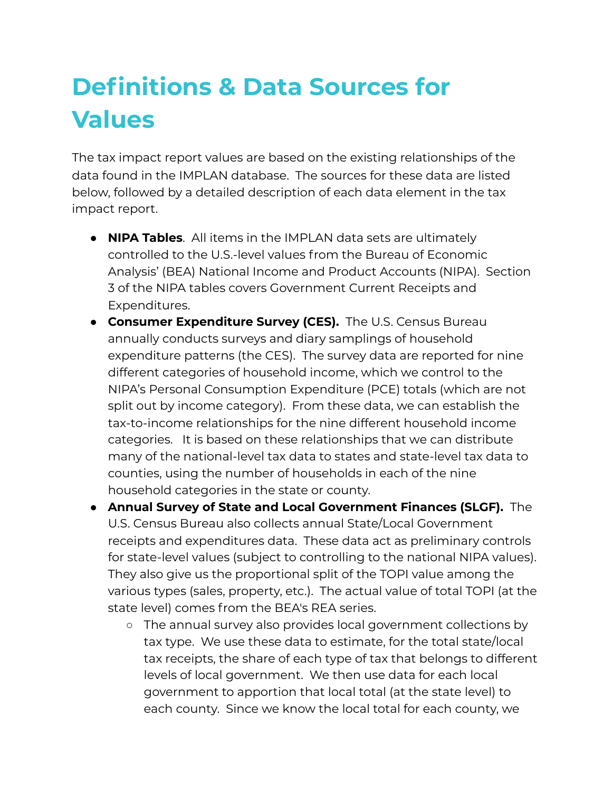# **Definitions & Data Sources for Values**

The tax impact report values are based on the existing relationships of the data found in the IMPLAN database. The sources for these data are listed below, followed by a detailed description of each data element in the tax impact report.

- **NIPA Tables**. All items in the IMPLAN data sets are ultimately controlled to the U.S.-level values from the Bureau of Economic Analysis' (BEA) National Income and Product Accounts (NIPA). Section 3 of the NIPA tables covers Government Current Receipts and Expenditures.
- **Consumer Expenditure Survey (CES).** The U.S. Census Bureau annually conducts surveys and diary samplings of household expenditure patterns (the CES). The survey data are reported for nine different categories of household income, which we control to the NIPA's Personal Consumption Expenditure (PCE) totals (which are not split out by income category). From these data, we can establish the tax-to-income relationships for the nine different household income categories. It is based on these relationships that we can distribute many of the national-level tax data to states and state-level tax data to counties, using the number of households in each of the nine household categories in the state or county.
- **Annual Survey of State and Local Government Finances (SLGF).** The U.S. Census Bureau also collects annual State/Local Government receipts and expenditures data. These data act as preliminary controls for state-level values (subject to controlling to the national NIPA values). They also give us the proportional split of the TOPI value among the various types (sales, property, etc.). The actual value of total TOPI (at the state level) comes from the BEA's REA series.
	- The annual survey also provides local government collections by tax type. We use these data to estimate, for the total state/local tax receipts, the share of each type of tax that belongs to different levels of local government. We then use data for each local government to apportion that local total (at the state level) to each county. Since we know the local total for each county, we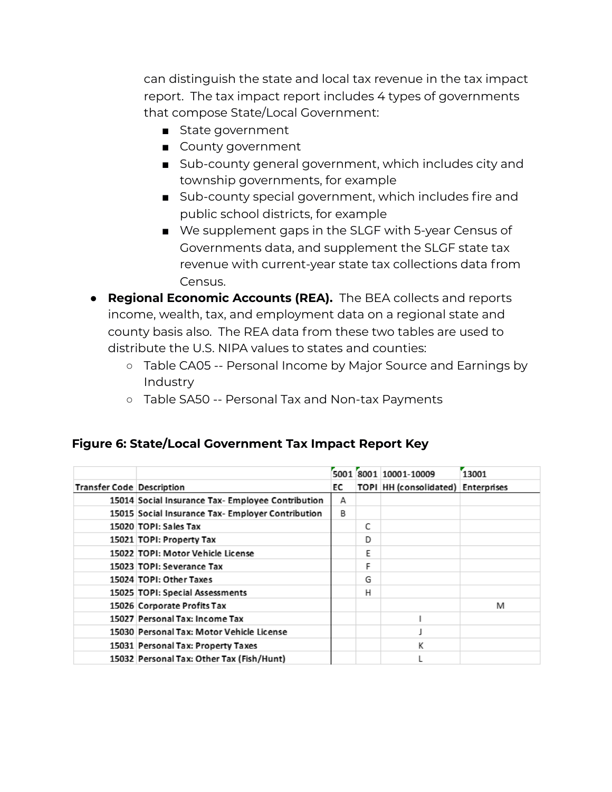can distinguish the state and local tax revenue in the tax impact report. The tax impact report includes 4 types of governments that compose State/Local Government:

- State government
- County government
- Sub-county general government, which includes city and township governments, for example
- Sub-county special government, which includes fire and public school districts, for example
- We supplement gaps in the SLGF with 5-year Census of Governments data, and supplement the SLGF state tax revenue with current-year state tax collections data from Census.
- **Regional Economic Accounts (REA).** The BEA collects and reports income, wealth, tax, and employment data on a regional state and county basis also. The REA data from these two tables are used to distribute the U.S. NIPA values to states and counties:
	- Table CA05 -- Personal Income by Major Source and Earnings by Industry
	- o Table SA50 -- Personal Tax and Non-tax Payments

#### **Figure 6: State/Local Government Tax Impact Report Key**

|                                  |                                                   |    |   | 5001 8001 10001-10009                     | 13001 |
|----------------------------------|---------------------------------------------------|----|---|-------------------------------------------|-------|
| <b>Transfer Code Description</b> |                                                   | ЕC |   | <b>TOPI HH (consolidated) Enterprises</b> |       |
|                                  | 15014 Social Insurance Tax- Employee Contribution | А  |   |                                           |       |
|                                  | 15015 Social Insurance Tax- Employer Contribution | в  |   |                                           |       |
|                                  | 15020 TOPI: Sales Tax                             |    | C |                                           |       |
|                                  | 15021 TOPI: Property Tax                          |    | D |                                           |       |
|                                  | 15022 TOPI: Motor Vehicle License                 |    | E |                                           |       |
|                                  | 15023 TOPI: Severance Tax                         |    | F |                                           |       |
|                                  | 15024 TOPI: Other Taxes                           |    | G |                                           |       |
|                                  | 15025 TOPI: Special Assessments                   |    | н |                                           |       |
|                                  | 15026 Corporate Profits Tax                       |    |   |                                           | M     |
|                                  | 15027 Personal Tax: Income Tax                    |    |   |                                           |       |
|                                  | 15030 Personal Tax: Motor Vehicle License         |    |   |                                           |       |
|                                  | 15031 Personal Tax: Property Taxes                |    |   | К                                         |       |
|                                  | 15032 Personal Tax: Other Tax (Fish/Hunt)         |    |   |                                           |       |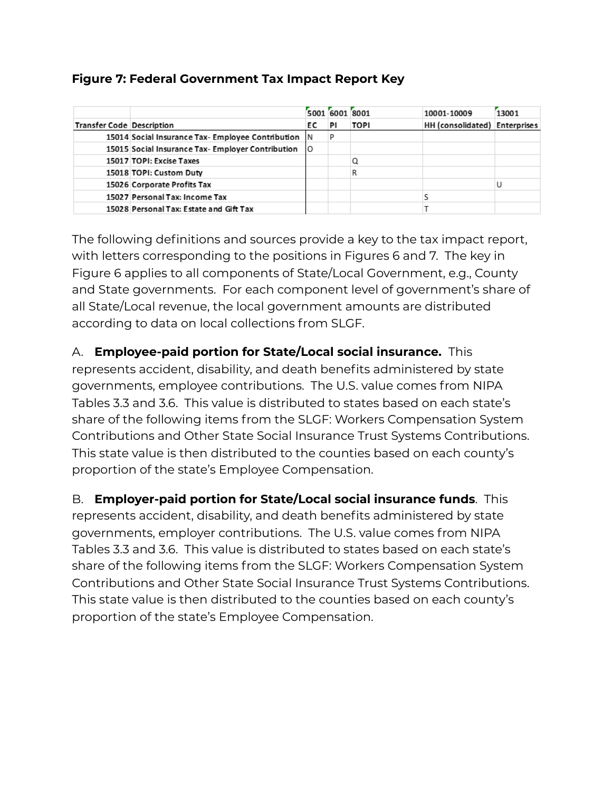#### **Figure 7: Federal Government Tax Impact Report Key**

|                                  |                                                      | 5001 6001 8001 |    |             | 10001-10009                   | 13001 |
|----------------------------------|------------------------------------------------------|----------------|----|-------------|-------------------------------|-------|
| <b>Transfer Code Description</b> |                                                      | EC.            | PI | <b>TOPI</b> | HH (consolidated) Enterprises |       |
|                                  | 15014 Social Insurance Tax- Employee Contribution  N |                |    |             |                               |       |
|                                  | 15015 Social Insurance Tax- Employer Contribution    | ΙO             |    |             |                               |       |
|                                  | 15017 TOPI: Excise Taxes                             |                |    |             |                               |       |
|                                  | 15018 TOPI: Custom Duty                              |                |    |             |                               |       |
|                                  | 15026 Corporate Profits Tax                          |                |    |             |                               |       |
|                                  | 15027 Personal Tax: Income Tax                       |                |    |             |                               |       |
|                                  | 15028 Personal Tax: Estate and Gift Tax              |                |    |             |                               |       |

The following definitions and sources provide a key to the tax impact report, with letters corresponding to the positions in Figures 6 and 7. The key in Figure 6 applies to all components of State/Local Government, e.g., County and State governments. For each component level of government's share of all State/Local revenue, the local government amounts are distributed according to data on local collections from SLGF.

A. **Employee-paid portion for State/Local social insurance.** This represents accident, disability, and death benefits administered by state governments, employee contributions. The U.S. value comes from NIPA Tables 3.3 and 3.6. This value is distributed to states based on each state's share of the following items from the SLGF: Workers Compensation System Contributions and Other State Social Insurance Trust Systems Contributions. This state value is then distributed to the counties based on each county's proportion of the state's Employee Compensation.

B. **Employer-paid portion for State/Local social insurance funds**. This represents accident, disability, and death benefits administered by state governments, employer contributions. The U.S. value comes from NIPA Tables 3.3 and 3.6. This value is distributed to states based on each state's share of the following items from the SLGF: Workers Compensation System Contributions and Other State Social Insurance Trust Systems Contributions. This state value is then distributed to the counties based on each county's proportion of the state's Employee Compensation.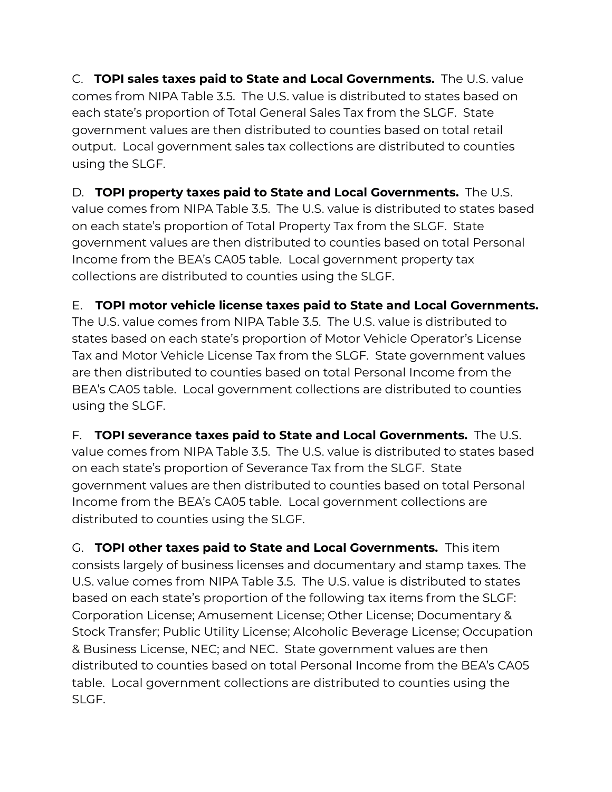C. **TOPI sales taxes paid to State and Local Governments.** The U.S. value comes from NIPA Table 3.5. The U.S. value is distributed to states based on each state's proportion of Total General Sales Tax from the SLGF. State government values are then distributed to counties based on total retail output. Local government sales tax collections are distributed to counties using the SLGF.

D. **TOPI property taxes paid to State and Local Governments.** The U.S. value comes from NIPA Table 3.5. The U.S. value is distributed to states based on each state's proportion of Total Property Tax from the SLGF. State government values are then distributed to counties based on total Personal Income from the BEA's CA05 table. Local government property tax collections are distributed to counties using the SLGF.

E. **TOPI motor vehicle license taxes paid to State and Local Governments.**

The U.S. value comes from NIPA Table 3.5. The U.S. value is distributed to states based on each state's proportion of Motor Vehicle Operator's License Tax and Motor Vehicle License Tax from the SLGF. State government values are then distributed to counties based on total Personal Income from the BEA's CA05 table. Local government collections are distributed to counties using the SLGF.

F. **TOPI severance taxes paid to State and Local Governments.** The U.S. value comes from NIPA Table 3.5. The U.S. value is distributed to states based on each state's proportion of Severance Tax from the SLGF. State government values are then distributed to counties based on total Personal Income from the BEA's CA05 table. Local government collections are distributed to counties using the SLGF.

G. **TOPI other taxes paid to State and Local Governments.** This item consists largely of business licenses and documentary and stamp taxes. The U.S. value comes from NIPA Table 3.5. The U.S. value is distributed to states based on each state's proportion of the following tax items from the SLGF: Corporation License; Amusement License; Other License; Documentary & Stock Transfer; Public Utility License; Alcoholic Beverage License; Occupation & Business License, NEC; and NEC. State government values are then distributed to counties based on total Personal Income from the BEA's CA05 table. Local government collections are distributed to counties using the SLGF.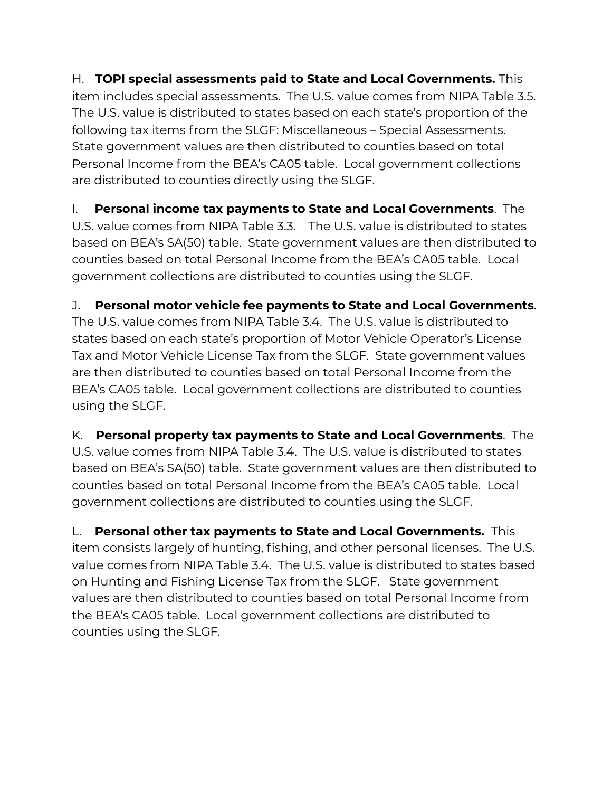H. **TOPI special assessments paid to State and Local Governments.** This item includes special assessments. The U.S. value comes from NIPA Table 3.5. The U.S. value is distributed to states based on each state's proportion of the following tax items from the SLGF: Miscellaneous – Special Assessments. State government values are then distributed to counties based on total Personal Income from the BEA's CA05 table. Local government collections are distributed to counties directly using the SLGF.

I. **Personal income tax payments to State and Local Governments**. The U.S. value comes from NIPA Table 3.3. The U.S. value is distributed to states based on BEA's SA(50) table. State government values are then distributed to counties based on total Personal Income from the BEA's CA05 table. Local government collections are distributed to counties using the SLGF.

J. **Personal motor vehicle fee payments to State and Local Governments**. The U.S. value comes from NIPA Table 3.4. The U.S. value is distributed to states based on each state's proportion of Motor Vehicle Operator's License Tax and Motor Vehicle License Tax from the SLGF. State government values are then distributed to counties based on total Personal Income from the BEA's CA05 table. Local government collections are distributed to counties using the SLGF.

K. **Personal property tax payments to State and Local Governments**. The U.S. value comes from NIPA Table 3.4. The U.S. value is distributed to states based on BEA's SA(50) table. State government values are then distributed to counties based on total Personal Income from the BEA's CA05 table. Local government collections are distributed to counties using the SLGF.

L. **Personal other tax payments to State and Local Governments.** This item consists largely of hunting, fishing, and other personal licenses. The U.S. value comes from NIPA Table 3.4. The U.S. value is distributed to states based on Hunting and Fishing License Tax from the SLGF. State government values are then distributed to counties based on total Personal Income from the BEA's CA05 table. Local government collections are distributed to counties using the SLGF.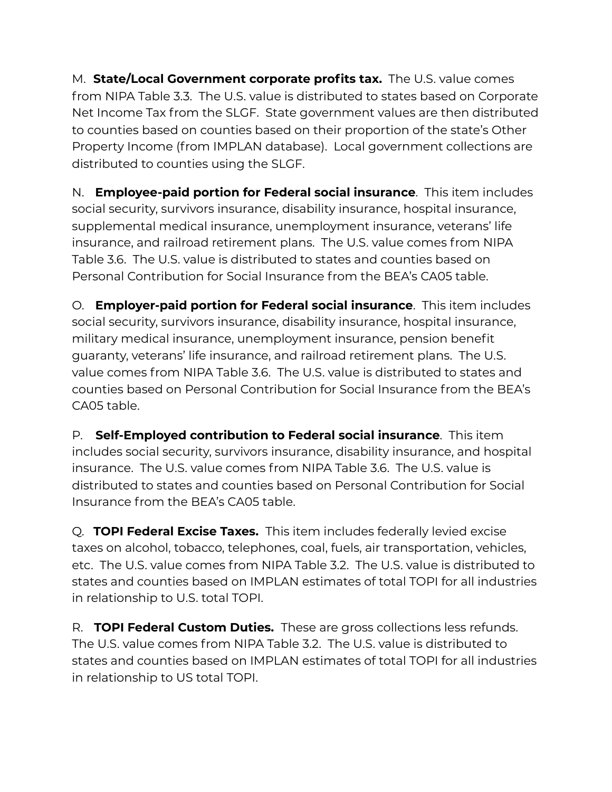M. **State/Local Government corporate profits tax.** The U.S. value comes from NIPA Table 3.3. The U.S. value is distributed to states based on Corporate Net Income Tax from the SLGF. State government values are then distributed to counties based on counties based on their proportion of the state's Other Property Income (from IMPLAN database). Local government collections are distributed to counties using the SLGF.

N. **Employee-paid portion for Federal social insurance**. This item includes social security, survivors insurance, disability insurance, hospital insurance, supplemental medical insurance, unemployment insurance, veterans' life insurance, and railroad retirement plans. The U.S. value comes from NIPA Table 3.6. The U.S. value is distributed to states and counties based on Personal Contribution for Social Insurance from the BEA's CA05 table.

O. **Employer-paid portion for Federal social insurance**. This item includes social security, survivors insurance, disability insurance, hospital insurance, military medical insurance, unemployment insurance, pension benefit guaranty, veterans' life insurance, and railroad retirement plans. The U.S. value comes from NIPA Table 3.6. The U.S. value is distributed to states and counties based on Personal Contribution for Social Insurance from the BEA's CA05 table.

P. **Self-Employed contribution to Federal social insurance**. This item includes social security, survivors insurance, disability insurance, and hospital insurance. The U.S. value comes from NIPA Table 3.6. The U.S. value is distributed to states and counties based on Personal Contribution for Social Insurance from the BEA's CA05 table.

Q. **TOPI Federal Excise Taxes.** This item includes federally levied excise taxes on alcohol, tobacco, telephones, coal, fuels, air transportation, vehicles, etc. The U.S. value comes from NIPA Table 3.2. The U.S. value is distributed to states and counties based on IMPLAN estimates of total TOPI for all industries in relationship to U.S. total TOPI.

R. **TOPI Federal Custom Duties.** These are gross collections less refunds. The U.S. value comes from NIPA Table 3.2. The U.S. value is distributed to states and counties based on IMPLAN estimates of total TOPI for all industries in relationship to US total TOPI.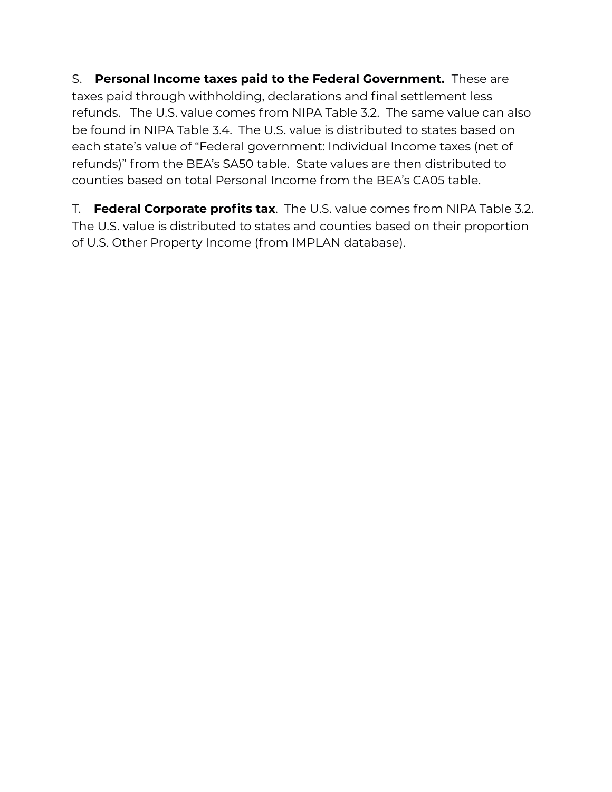S. **Personal Income taxes paid to the Federal Government.** These are taxes paid through withholding, declarations and final settlement less refunds. The U.S. value comes from NIPA Table 3.2. The same value can also be found in NIPA Table 3.4. The U.S. value is distributed to states based on each state's value of "Federal government: Individual Income taxes (net of refunds)" from the BEA's SA50 table. State values are then distributed to counties based on total Personal Income from the BEA's CA05 table.

T. **Federal Corporate profits tax**. The U.S. value comes from NIPA Table 3.2. The U.S. value is distributed to states and counties based on their proportion of U.S. Other Property Income (from IMPLAN database).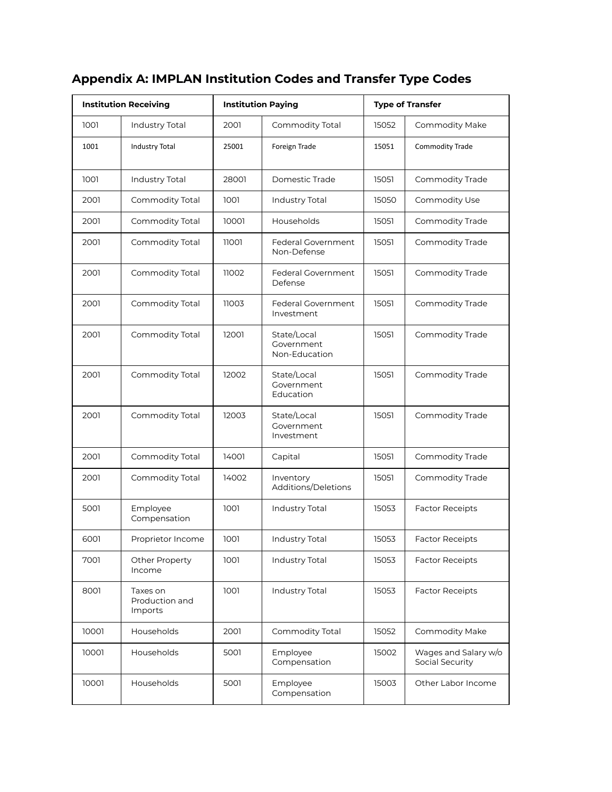|       | <b>Institution Receiving</b>          |       | <b>Institution Paying</b>                  |       | <b>Type of Transfer</b>                 |
|-------|---------------------------------------|-------|--------------------------------------------|-------|-----------------------------------------|
| 1001  | Industry Total                        | 2001  | Commodity Total                            | 15052 | Commodity Make                          |
| 1001  | <b>Industry Total</b>                 | 25001 | Foreign Trade                              | 15051 | <b>Commodity Trade</b>                  |
| 1001  | Industry Total                        | 28001 | Domestic Trade                             | 15051 | Commodity Trade                         |
| 2001  | Commodity Total                       | 1001  | Industry Total                             | 15050 | Commodity Use                           |
| 2001  | Commodity Total                       | 10001 | Households                                 | 15051 | Commodity Trade                         |
| 2001  | Commodity Total                       | 11001 | Federal Government<br>Non-Defense          | 15051 | <b>Commodity Trade</b>                  |
| 2001  | Commodity Total                       | 11002 | Federal Government<br>Defense              | 15051 | Commodity Trade                         |
| 2001  | Commodity Total                       | 11003 | Federal Government<br>Investment           | 15051 | Commodity Trade                         |
| 2001  | Commodity Total                       | 12001 | State/Local<br>Government<br>Non-Education | 15051 | Commodity Trade                         |
| 2001  | Commodity Total                       | 12002 | State/Local<br>Government<br>Education     | 15051 | Commodity Trade                         |
| 2001  | Commodity Total                       | 12003 | State/Local<br>Government<br>Investment    | 15051 | Commodity Trade                         |
| 2001  | Commodity Total                       | 14001 | Capital                                    | 15051 | Commodity Trade                         |
| 2001  | Commodity Total                       | 14002 | Inventory<br>Additions/Deletions           | 15051 | Commodity Trade                         |
| 5001  | Employee<br>Compensation              | 1001  | Industry Total                             | 15053 | <b>Factor Receipts</b>                  |
| 6001  | Proprietor Income                     | 1001  | Industry Total                             | 15053 | <b>Factor Receipts</b>                  |
| 7001  | Other Property<br>Income              | 1001  | <b>Industry Total</b>                      | 15053 | <b>Factor Receipts</b>                  |
| 8001  | Taxes on<br>Production and<br>Imports | 1001  | Industry Total                             | 15053 | <b>Factor Receipts</b>                  |
| 10001 | Households                            | 2001  | Commodity Total                            | 15052 | Commodity Make                          |
| 10001 | Households                            | 5001  | Employee<br>Compensation                   | 15002 | Wages and Salary w/o<br>Social Security |
| 10001 | Households                            | 5001  | Employee<br>Compensation                   | 15003 | Other Labor Income                      |

### **Appendix A: IMPLAN Institution Codes and Transfer Type Codes**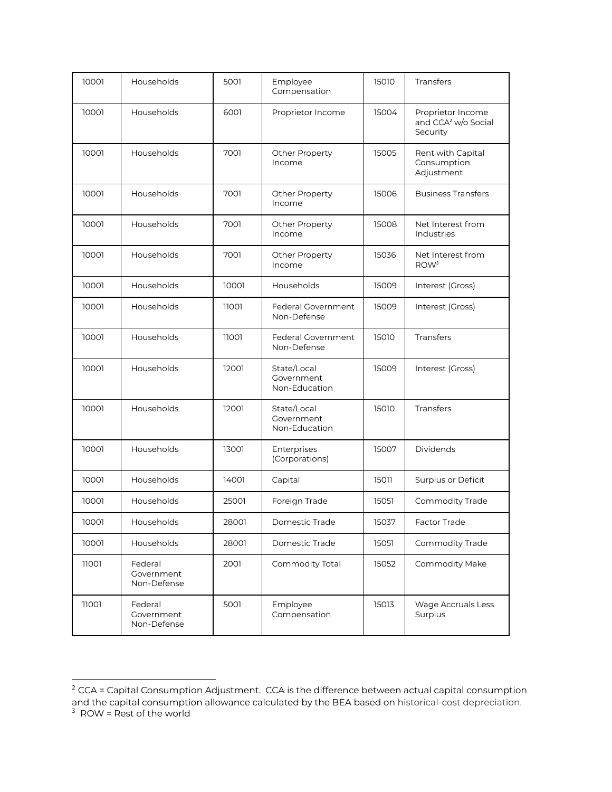| 10001 | Households                           | 5001  | Employee<br>Compensation                   | 15010 | <b>Transfers</b>                                                 |
|-------|--------------------------------------|-------|--------------------------------------------|-------|------------------------------------------------------------------|
| 10001 | Households                           | 6001  | Proprietor Income                          | 15004 | Proprietor Income<br>and CCA <sup>2</sup> w/o Social<br>Security |
| 10001 | Households                           | 7001  | <b>Other Property</b><br>Income            | 15005 | Rent with Capital<br>Consumption<br>Adjustment                   |
| 10001 | Households                           | 7001  | Other Property<br>Income                   | 15006 | <b>Business Transfers</b>                                        |
| 10001 | Households                           | 7001  | <b>Other Property</b><br>Income            | 15008 | Net Interest from<br><b>Industries</b>                           |
| 10001 | Households                           | 7001  | Other Property<br>Income                   | 15036 | Net Interest from<br>ROW <sup>3</sup>                            |
| 10001 | Households                           | 10001 | Households                                 | 15009 | Interest (Gross)                                                 |
| 10001 | Households                           | 11001 | <b>Federal Government</b><br>Non-Defense   | 15009 | Interest (Gross)                                                 |
| 10001 | Households                           | 11001 | Federal Government<br>Non-Defense          | 15010 | Transfers                                                        |
| 10001 | Households                           | 12001 | State/Local<br>Government<br>Non-Education | 15009 | Interest (Gross)                                                 |
| 10001 | Households                           | 12001 | State/Local<br>Government<br>Non-Education | 15010 | Transfers                                                        |
| 10001 | Households                           | 13001 | Enterprises<br>(Corporations)              | 15007 | Dividends                                                        |
| 10001 | Households                           | 14001 | Capital                                    | 15011 | Surplus or Deficit                                               |
| 10001 | Households                           | 25001 | Foreign Trade                              | 15051 | Commodity Trade                                                  |
| 10001 | Households                           | 28001 | Domestic Trade                             | 15037 | Factor Trade                                                     |
| 10001 | Households                           | 28001 | Domestic Trade                             | 15051 | Commodity Trade                                                  |
| 11001 | Federal<br>Government<br>Non-Defense | 2001  | Commodity Total                            | 15052 | Commodity Make                                                   |
| 11001 | Federal<br>Government<br>Non-Defense | 5001  | Employee<br>Compensation                   | 15013 | Wage Accruals Less<br>Surplus                                    |

 $^2$  CCA = Capital Consumption Adjustment. CCA is the difference between actual capital consumption and the capital consumption allowance calculated by the BEA based on historical-cost depreciation.  $3$  ROW = Rest of the world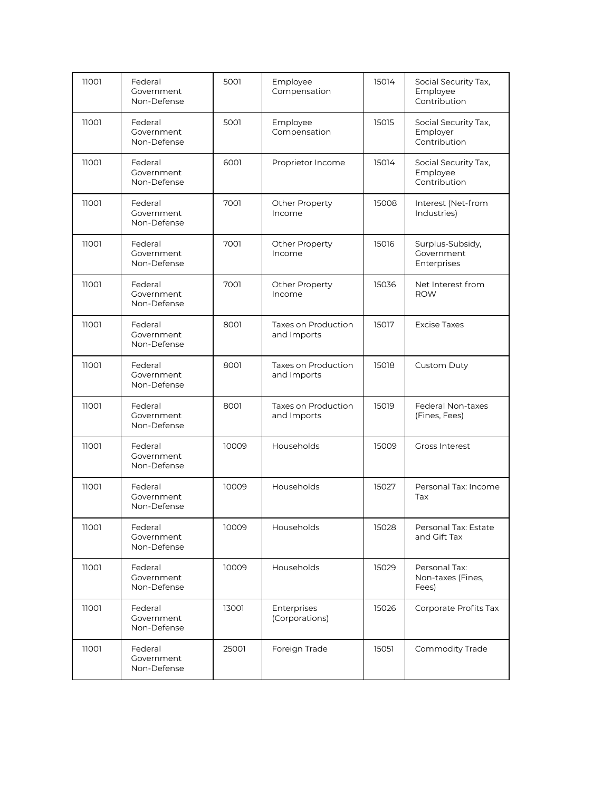| 11001 | Federal<br>Government<br>Non-Defense | 5001  | Employee<br>Compensation           | 15014 | Social Security Tax,<br>Employee<br>Contribution |
|-------|--------------------------------------|-------|------------------------------------|-------|--------------------------------------------------|
| 11001 | Federal<br>Government<br>Non-Defense | 5001  | Employee<br>Compensation           | 15015 | Social Security Tax,<br>Employer<br>Contribution |
| 11001 | Federal<br>Government<br>Non-Defense | 6001  | Proprietor Income                  | 15014 | Social Security Tax,<br>Employee<br>Contribution |
| 11001 | Federal<br>Government<br>Non-Defense | 7001  | <b>Other Property</b><br>Income    | 15008 | Interest (Net-from<br>Industries)                |
| 11001 | Federal<br>Government<br>Non-Defense | 7001  | <b>Other Property</b><br>Income    | 15016 | Surplus-Subsidy,<br>Government<br>Enterprises    |
| 11001 | Federal<br>Government<br>Non-Defense | 7001  | <b>Other Property</b><br>Income    | 15036 | Net Interest from<br><b>ROW</b>                  |
| 11001 | Federal<br>Government<br>Non-Defense | 8001  | Taxes on Production<br>and Imports | 15017 | <b>Excise Taxes</b>                              |
| 11001 | Federal<br>Government<br>Non-Defense | 8001  | Taxes on Production<br>and Imports | 15018 | <b>Custom Duty</b>                               |
| 11001 | Federal<br>Government<br>Non-Defense | 8001  | Taxes on Production<br>and Imports | 15019 | <b>Federal Non-taxes</b><br>(Fines, Fees)        |
| 11001 | Federal<br>Government<br>Non-Defense | 10009 | Households                         | 15009 | <b>Gross Interest</b>                            |
| 11001 | Federal<br>Government<br>Non-Defense | 10009 | Households                         | 15027 | Personal Tax: Income<br>Tax                      |
| 11001 | Federal<br>Government<br>Non-Defense | 10009 | Households                         | 15028 | Personal Tax: Estate<br>and Gift Tax             |
| 11001 | Federal<br>Government<br>Non-Defense | 10009 | Households                         | 15029 | Personal Tax:<br>Non-taxes (Fines,<br>Fees)      |
| 11001 | Federal<br>Government<br>Non-Defense | 13001 | Enterprises<br>(Corporations)      | 15026 | Corporate Profits Tax                            |
| 11001 | Federal<br>Government<br>Non-Defense | 25001 | Foreign Trade                      | 15051 | Commodity Trade                                  |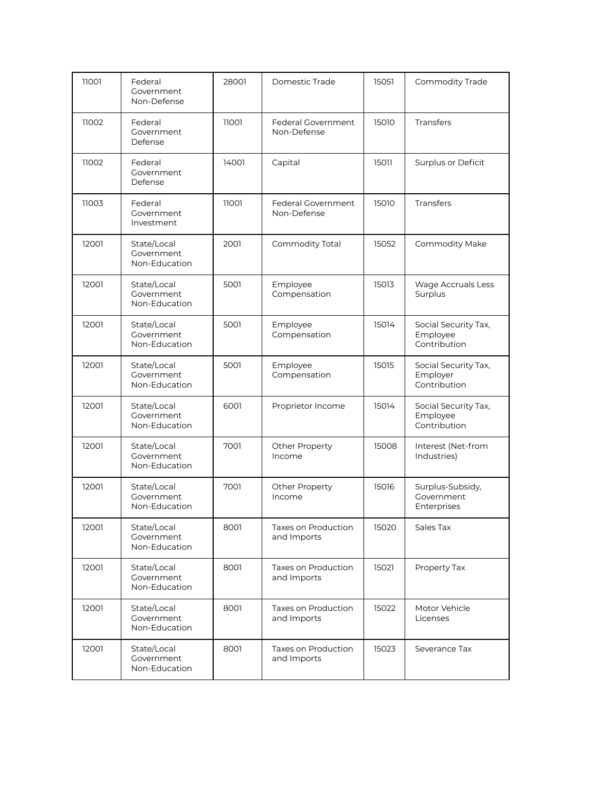| 11001 | Federal<br>Government<br>Non-Defense       | 28001 | Domestic Trade                           | 15051 | Commodity Trade                                  |
|-------|--------------------------------------------|-------|------------------------------------------|-------|--------------------------------------------------|
| 11002 | Federal<br>Government<br>Defense           | 11001 | <b>Federal Government</b><br>Non-Defense | 15010 | <b>Transfers</b>                                 |
| 11002 | Federal<br>Government<br>Defense           | 14001 | Capital                                  | 15011 | Surplus or Deficit                               |
| 11003 | Federal<br>Government<br>Investment        | 11001 | Federal Government<br>Non-Defense        | 15010 | <b>Transfers</b>                                 |
| 12001 | State/Local<br>Government<br>Non-Education | 2001  | Commodity Total                          | 15052 | Commodity Make                                   |
| 12001 | State/Local<br>Government<br>Non-Education | 5001  | Employee<br>Compensation                 | 15013 | <b>Wage Accruals Less</b><br>Surplus             |
| 12001 | State/Local<br>Government<br>Non-Education | 5001  | Employee<br>Compensation                 | 15014 | Social Security Tax,<br>Employee<br>Contribution |
| 12001 | State/Local<br>Government<br>Non-Education | 5001  | Employee<br>Compensation                 | 15015 | Social Security Tax,<br>Employer<br>Contribution |
| 12001 | State/Local<br>Government<br>Non-Education | 6001  | Proprietor Income                        | 15014 | Social Security Tax,<br>Employee<br>Contribution |
| 12001 | State/Local<br>Government<br>Non-Education | 7001  | <b>Other Property</b><br>Income          | 15008 | Interest (Net-from<br>Industries)                |
| 12001 | State/Local<br>Government<br>Non-Education | 7001  | Other Property<br>Income                 | 15016 | Surplus-Subsidy,<br>Government<br>Enterprises    |
| 12001 | State/Local<br>Government<br>Non-Education | 8001  | Taxes on Production<br>and Imports       | 15020 | Sales Tax                                        |
| 12001 | State/Local<br>Government<br>Non-Education | 8001  | Taxes on Production<br>and Imports       | 15021 | Property Tax                                     |
| 12001 | State/Local<br>Government<br>Non-Education | 8001  | Taxes on Production<br>and Imports       | 15022 | Motor Vehicle<br>Licenses                        |
| 12001 | State/Local<br>Government<br>Non-Education | 8001  | Taxes on Production<br>and Imports       | 15023 | Severance Tax                                    |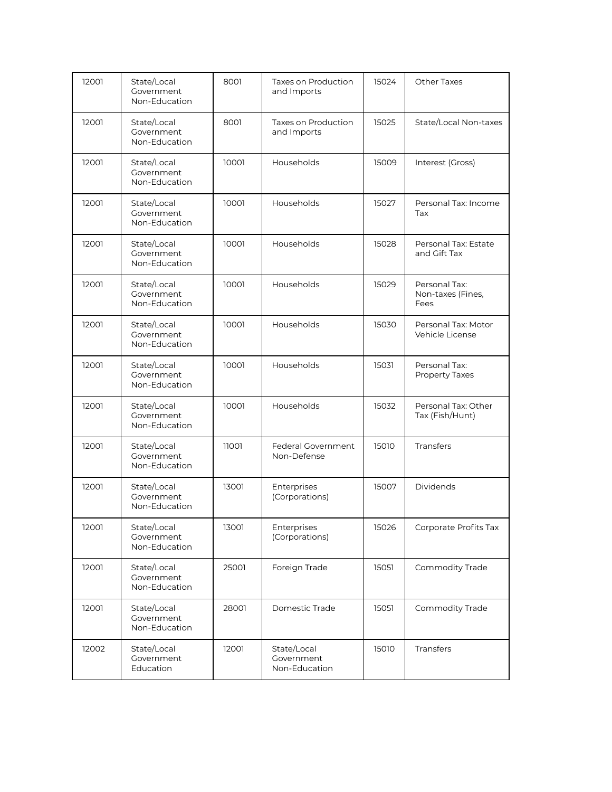| 12001 | State/Local<br>Government<br>Non-Education | 8001  | Taxes on Production<br>and Imports         | 15024 | <b>Other Taxes</b>                         |
|-------|--------------------------------------------|-------|--------------------------------------------|-------|--------------------------------------------|
| 12001 | State/Local<br>Government<br>Non-Education | 8001  | Taxes on Production<br>and Imports         | 15025 | State/Local Non-taxes                      |
| 12001 | State/Local<br>Government<br>Non-Education | 10001 | Households                                 | 15009 | Interest (Gross)                           |
| 12001 | State/Local<br>Government<br>Non-Education | 10001 | Households                                 | 15027 | Personal Tax: Income<br>Tax                |
| 12001 | State/Local<br>Government<br>Non-Education | 10001 | Households                                 | 15028 | Personal Tax: Estate<br>and Gift Tax       |
| 12001 | State/Local<br>Government<br>Non-Education | 10001 | Households                                 | 15029 | Personal Tax:<br>Non-taxes (Fines,<br>Fees |
| 12001 | State/Local<br>Government<br>Non-Education | 10001 | Households                                 | 15030 | Personal Tax: Motor<br>Vehicle License     |
| 12001 | State/Local<br>Government<br>Non-Education | 10001 | Households                                 | 15031 | Personal Tax:<br><b>Property Taxes</b>     |
| 12001 | State/Local<br>Government<br>Non-Education | 10001 | Households                                 | 15032 | Personal Tax: Other<br>Tax (Fish/Hunt)     |
| 12001 | State/Local<br>Government<br>Non-Education | 11001 | Federal Government<br>Non-Defense          | 15010 | Transfers                                  |
| 12001 | State/Local<br>Government<br>Non-Education | 13001 | Enterprises<br>(Corporations)              | 15007 | Dividends                                  |
| 12001 | State/Local<br>Government<br>Non-Education | 13001 | Enterprises<br>(Corporations)              | 15026 | Corporate Profits Tax                      |
| 12001 | State/Local<br>Government<br>Non-Education | 25001 | Foreign Trade                              | 15051 | Commodity Trade                            |
| 12001 | State/Local<br>Government<br>Non-Education | 28001 | Domestic Trade                             | 15051 | Commodity Trade                            |
| 12002 | State/Local<br>Government<br>Education     | 12001 | State/Local<br>Government<br>Non-Education | 15010 | Transfers                                  |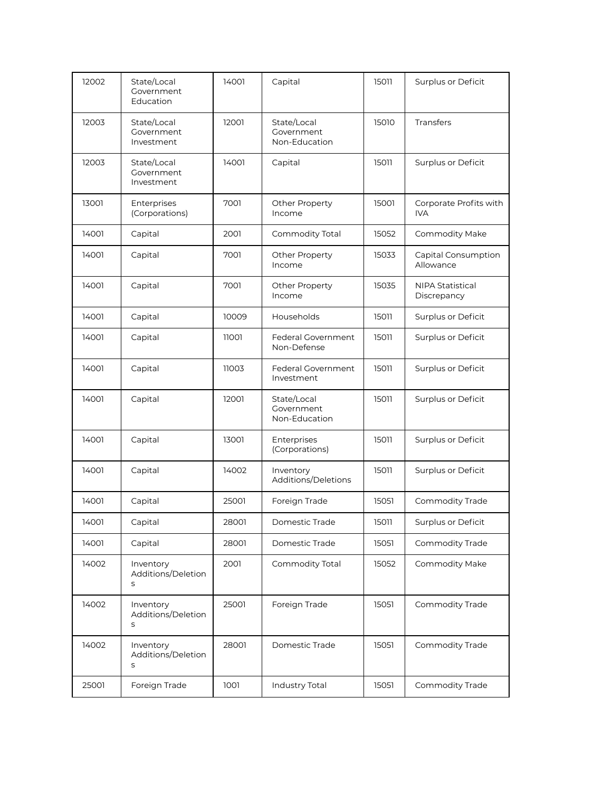| 12002 | State/Local<br>Government<br>Education  | 14001 | Capital                                    | 15011 | Surplus or Deficit               |
|-------|-----------------------------------------|-------|--------------------------------------------|-------|----------------------------------|
| 12003 | State/Local<br>Government<br>Investment | 12001 | State/Local<br>Government<br>Non-Education | 15010 | Transfers                        |
| 12003 | State/Local<br>Government<br>Investment | 14001 | Capital                                    | 15011 | Surplus or Deficit               |
| 13001 | Enterprises<br>(Corporations)           | 7001  | Other Property<br>Income                   | 15001 | Corporate Profits with<br>IVA    |
| 14001 | Capital                                 | 2001  | Commodity Total                            | 15052 | Commodity Make                   |
| 14001 | Capital                                 | 7001  | Other Property<br>Income                   | 15033 | Capital Consumption<br>Allowance |
| 14001 | Capital                                 | 7001  | Other Property<br>Income                   | 15035 | NIPA Statistical<br>Discrepancy  |
| 14001 | Capital                                 | 10009 | Households                                 | 15011 | Surplus or Deficit               |
| 14001 | Capital                                 | 11001 | Federal Government<br>Non-Defense          | 15011 | Surplus or Deficit               |
| 14001 | Capital                                 | 11003 | Federal Government<br>Investment           | 15011 | Surplus or Deficit               |
| 14001 | Capital                                 | 12001 | State/Local<br>Government<br>Non-Education | 15011 | Surplus or Deficit               |
| 14001 | Capital                                 | 13001 | Enterprises<br>(Corporations)              | 15011 | Surplus or Deficit               |
| 14001 | Capital                                 | 14002 | Inventory<br>Additions/Deletions           | 15011 | Surplus or Deficit               |
| 14001 | Capital                                 | 25001 | Foreign Trade                              | 15051 | Commodity Trade                  |
| 14001 | Capital                                 | 28001 | Domestic Trade                             | 15011 | Surplus or Deficit               |
| 14001 | Capital                                 | 28001 | Domestic Trade                             | 15051 | Commodity Trade                  |
| 14002 | Inventory<br>Additions/Deletion<br>S    | 2001  | Commodity Total                            | 15052 | Commodity Make                   |
| 14002 | Inventory<br>Additions/Deletion<br>S    | 25001 | Foreign Trade                              | 15051 | Commodity Trade                  |
| 14002 | Inventory<br>Additions/Deletion<br>S    | 28001 | Domestic Trade                             | 15051 | Commodity Trade                  |
| 25001 | Foreign Trade                           | 1001  | Industry Total                             | 15051 | Commodity Trade                  |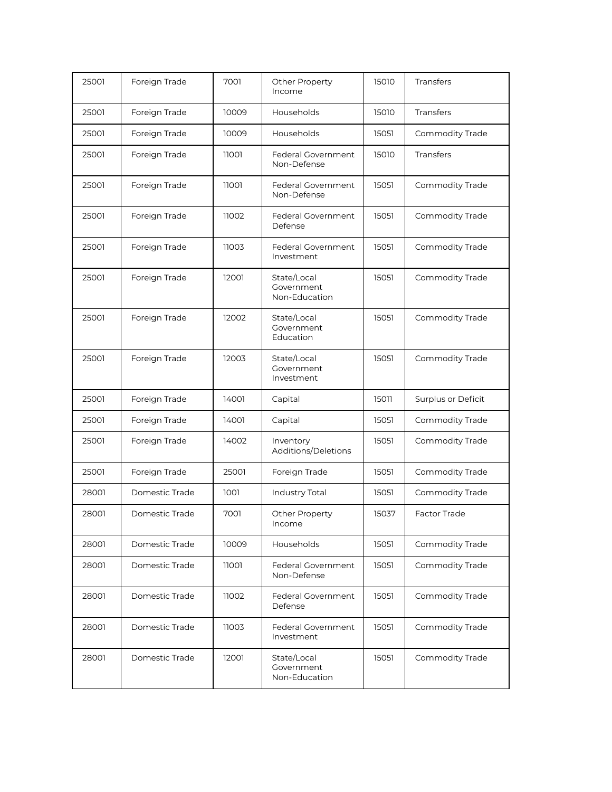| 25001 | Foreign Trade  | 7001  | Other Property<br>Income                   | 15010 | <b>Transfers</b>    |
|-------|----------------|-------|--------------------------------------------|-------|---------------------|
| 25001 | Foreign Trade  | 10009 | Households                                 | 15010 | <b>Transfers</b>    |
| 25001 | Foreign Trade  | 10009 | Households                                 | 15051 | Commodity Trade     |
| 25001 | Foreign Trade  | 11001 | Federal Government<br>Non-Defense          | 15010 | <b>Transfers</b>    |
| 25001 | Foreign Trade  | 11001 | Federal Government<br>Non-Defense          | 15051 | Commodity Trade     |
| 25001 | Foreign Trade  | 11002 | Federal Government<br>Defense              | 15051 | Commodity Trade     |
| 25001 | Foreign Trade  | 11003 | Federal Government<br>Investment           | 15051 | Commodity Trade     |
| 25001 | Foreign Trade  | 12001 | State/Local<br>Government<br>Non-Education | 15051 | Commodity Trade     |
| 25001 | Foreign Trade  | 12002 | State/Local<br>Government<br>Education     | 15051 | Commodity Trade     |
| 25001 | Foreign Trade  | 12003 | State/Local<br>Government<br>Investment    | 15051 | Commodity Trade     |
| 25001 | Foreign Trade  | 14001 | Capital                                    | 15011 | Surplus or Deficit  |
| 25001 | Foreign Trade  | 14001 | Capital                                    | 15051 | Commodity Trade     |
| 25001 | Foreign Trade  | 14002 | Inventory<br>Additions/Deletions           | 15051 | Commodity Trade     |
| 25001 | Foreign Trade  | 25001 | Foreign Trade                              | 15051 | Commodity Trade     |
| 28001 | Domestic Trade | 1001  | Industry Total                             | 15051 | Commodity Trade     |
| 28001 | Domestic Trade | 7001  | <b>Other Property</b><br>Income            | 15037 | <b>Factor Trade</b> |
| 28001 | Domestic Trade | 10009 | Households                                 | 15051 | Commodity Trade     |
| 28001 | Domestic Trade | 11001 | Federal Government<br>Non-Defense          | 15051 | Commodity Trade     |
| 28001 | Domestic Trade | 11002 | <b>Federal Government</b><br>Defense       | 15051 | Commodity Trade     |
| 28001 | Domestic Trade | 11003 | Federal Government<br>Investment           | 15051 | Commodity Trade     |
| 28001 | Domestic Trade | 12001 | State/Local<br>Government<br>Non-Education | 15051 | Commodity Trade     |